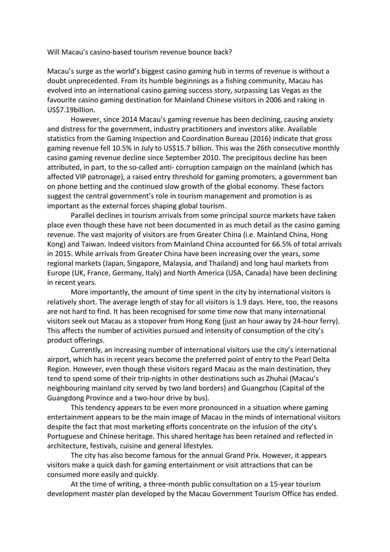Will Macau's casino-based tourism revenue bounce back?

Macau's surge as the world's biggest casino gaming hub in terms of revenue is without a doubt unprecedented. From its humble beginnings as a fishing community, Macau has evolved into an international casino gaming success story, surpassing Las Vegas as the favourite casino gaming destination for Mainland Chinese visitors in 2006 and raking in US\$7.19billion.

However, since 2014 Macau's gaming revenue has been declining, causing anxiety and distress for the government, industry practitioners and investors alike. Available statistics from the Gaming Inspection and Coordination Bureau (2016) indicate that gross gaming revenue fell 10.5% in July to US\$15.7 billion. This was the 26th consecutive monthly casino gaming revenue decline since September 2010. The precipitous decline has been attributed, in part, to the so-called anti- corruption campaign on the mainland (which has affected VIP patronage), a raised entry threshold for gaming promoters, a government ban on phone betting and the continued slow growth of the global economy. These factors suggest the central government's role in tourism management and promotion is as important as the external forces shaping global tourism.

Parallel declines in tourism arrivals from some principal source markets have taken place even though these have not been documented in as much detail as the casino gaming revenue. The vast majority of visitors are from Greater China (i.e. Mainland China, Hong Kong) and Taiwan. Indeed visitors from Mainland China accounted for 66.5% of total arrivals in 2015. While arrivals from Greater China have been increasing over the years, some regional markets (Japan, Singapore, Malaysia, and Thailand) and long haul markets from Europe (UK, France, Germany, Italy) and North America (USA, Canada) have been declining in recent years.

More importantly, the amount of time spent in the city by international visitors is relatively short. The average length of stay for all visitors is 1.9 days. Here, too, the reasons are not hard to find. It has been recognised for some time now that many international visitors seek out Macau as a stopover from Hong Kong (just an hour away by 24-hour ferry). This affects the number of activities pursued and intensity of consumption of the city's product offerings.

Currently, an increasing number of international visitors use the city's international airport, which has in recent years become the preferred point of entry to the Pearl Delta Region. However, even though these visitors regard Macau as the main destination, they tend to spend some of their trip-nights in other destinations such as Zhuhai (Macau's neighbouring mainland city served by two land borders) and Guangzhou (Capital of the Guangdong Province and a two-hour drive by bus).

This tendency appears to be even more pronounced in a situation where gaming entertainment appears to be the main image of Macau in the minds of international visitors despite the fact that most marketing efforts concentrate on the infusion of the city's Portuguese and Chinese heritage. This shared heritage has been retained and reflected in architecture, festivals, cuisine and general lifestyles.

The city has also become famous for the annual Grand Prix. However, it appears visitors make a quick dash for gaming entertainment or visit attractions that can be consumed more easily and quickly.

At the time of writing, a three-month public consultation on a 15-year tourism development master plan developed by the Macau Government Tourism Office has ended.